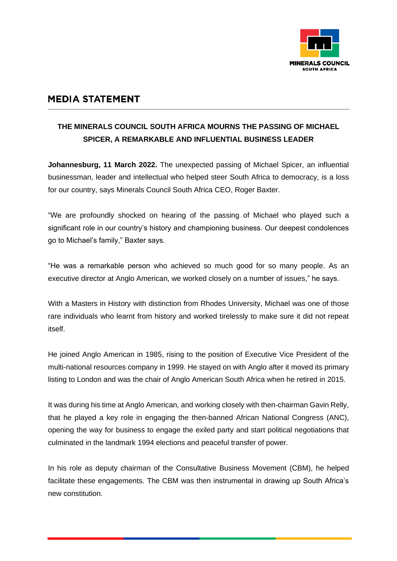

## **MEDIA STATEMENT**

## **THE MINERALS COUNCIL SOUTH AFRICA MOURNS THE PASSING OF MICHAEL SPICER, A REMARKABLE AND INFLUENTIAL BUSINESS LEADER**

**Johannesburg, 11 March 2022.** The unexpected passing of Michael Spicer, an influential businessman, leader and intellectual who helped steer South Africa to democracy, is a loss for our country, says Minerals Council South Africa CEO, Roger Baxter.

"We are profoundly shocked on hearing of the passing of Michael who played such a significant role in our country's history and championing business. Our deepest condolences go to Michael's family," Baxter says.

"He was a remarkable person who achieved so much good for so many people. As an executive director at Anglo American, we worked closely on a number of issues," he says.

With a Masters in History with distinction from Rhodes University, Michael was one of those rare individuals who learnt from history and worked tirelessly to make sure it did not repeat itself.

He joined Anglo American in 1985, rising to the position of Executive Vice President of the multi-national resources company in 1999. He stayed on with Anglo after it moved its primary listing to London and was the chair of Anglo American South Africa when he retired in 2015.

It was during his time at Anglo American, and working closely with then-chairman Gavin Relly, that he played a key role in engaging the then-banned African National Congress (ANC), opening the way for business to engage the exiled party and start political negotiations that culminated in the landmark 1994 elections and peaceful transfer of power.

In his role as deputy chairman of the Consultative Business Movement (CBM), he helped facilitate these engagements. The CBM was then instrumental in drawing up South Africa's new constitution.